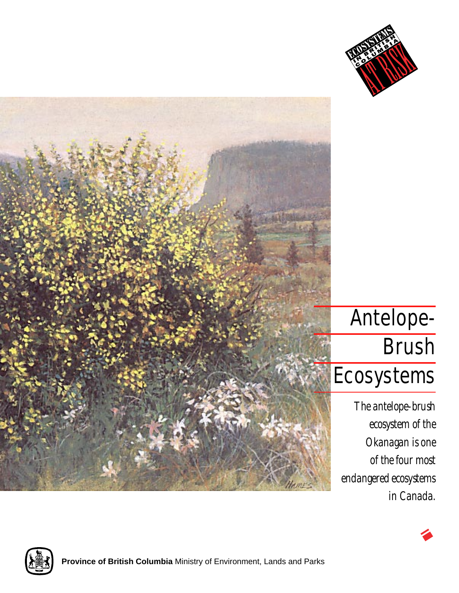



## Antelope-**Brush** Ecosystems

*The antelope-brush ecosystem of the Okanagan is one of the four most endangered ecosystems in Canada.*



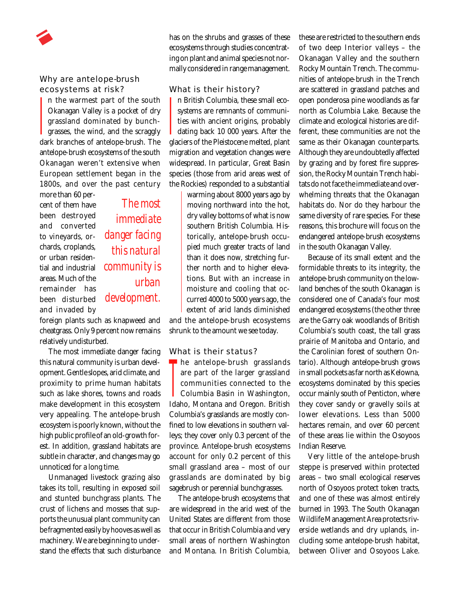

## Why are antelope-brush ecosystems at risk?

n the warmest part of the south Okanagan Valley is a pocket of dry grassland dominated by bunch**grasses**, the wind, and the scraggly dark branches of antelope-brush. The antelope-brush ecosystems of the south Okanagan weren't extensive when European settlement began in the 1800s, and over the past century  $\frac{1}{2}$ 

more than 60 percent of them have been destroyed and converted to vineyards, orchards, croplands, or urban residential and industrial areas. Much of the remainder has been disturbed and invaded by

*The most immediate danger facing this natural community is urban development.*

foreign plants such as knapweed and cheatgrass. Only 9 percent now remains relatively undisturbed.

The most immediate danger facing this natural community is urban development. Gentle slopes, arid climate, and proximity to prime human habitats such as lake shores, towns and roads make development in this ecosystem very appealing. The antelope-brush ecosystem is poorly known, without the high public profile of an old-growth forest. In addition, grassland habitats are subtle in character, and changes may go unnoticed for a long time.

Unmanaged livestock grazing also takes its toll, resulting in exposed soil and stunted bunchgrass plants. The crust of lichens and mosses that supports the unusual plant community can be fragmented easily by hooves as well as machinery. We are beginning to understand the effects that such disturbance has on the shrubs and grasses of these ecosystems through studies concentrating on plant and animal species not normally considered in range management.

What is their history?

n British Columbia, these small ecosystems are remnants of communities with ancient origins, probably **dating back 10 000 years. After the** glaciers of the Pleistocene melted, plant migration and vegetation changes were widespread. In particular, Great Basin species (those from arid areas west of the Rockies) responded to a substantial  $\frac{1}{2}$ 

warming about 8000 years ago by moving northward into the hot, dry valley bottoms of what is now southern British Columbia. Historically, antelope-brush occupied much greater tracts of land than it does now, stretching further north and to higher elevations. But with an increase in moisture and cooling that occurred 4000 to 5000 years ago, the extent of arid lands diminished and the antelope-brush ecosystems shrunk to the amount we see today.

What is their status?

**he antelope-brush grasslands**<br>
are part of the larger grassland<br>
communities connected to the<br>
Columbia Basin in Washington, are part of the larger grassland communities connected to the Columbia Basin in Washington, Idaho, Montana and Oregon. British Columbia's grasslands are mostly confined to low elevations in southern valleys; they cover only 0.3 percent of the province. Antelope-brush ecosystems account for only 0.2 percent of this small grassland area – most of our grasslands are dominated by big sagebrush or perennial bunchgrasses.

The antelope-brush ecosystems that are widespread in the arid west of the United States are different from those that occur in British Columbia and very small areas of northern Washington and Montana. In British Columbia,

these are restricted to the southern ends of two deep Interior valleys – the Okanagan Valley and the southern Rocky Mountain Trench. The communities of antelope-brush in the Trench are scattered in grassland patches and open ponderosa pine woodlands as far north as Columbia Lake. Because the climate and ecological histories are different, these communities are not the same as their Okanagan counterparts. Although they are undoubtedly affected by grazing and by forest fire suppression, the Rocky Mountain Trench habitats do not face the immediate and overwhelming threats that the Okanagan habitats do. Nor do they harbour the same diversity of rare species. For these reasons, this brochure will focus on the endangered antelope-brush ecosystems in the south Okanagan Valley.

Because of its small extent and the formidable threats to its integrity, the antelope-brush community on the lowland benches of the south Okanagan is considered one of Canada's four most endangered ecosystems (the other three are the Garry oak woodlands of British Columbia's south coast, the tall grass prairie of Manitoba and Ontario, and the Carolinian forest of southern Ontario). Although antelope-brush grows in small pockets as far north as Kelowna, ecosystems dominated by this species occur mainly south of Penticton, where they cover sandy or gravelly soils at lower elevations. Less than 5000 hectares remain, and over 60 percent of these areas lie within the Osoyoos Indian Reserve.

Very little of the antelope-brush steppe is preserved within protected areas – two small ecological reserves north of Osoyoos protect token tracts, and one of these was almost entirely burned in 1993. The South Okanagan Wildlife Management Area protects riverside wetlands and dry uplands, including some antelope-brush habitat, between Oliver and Osoyoos Lake.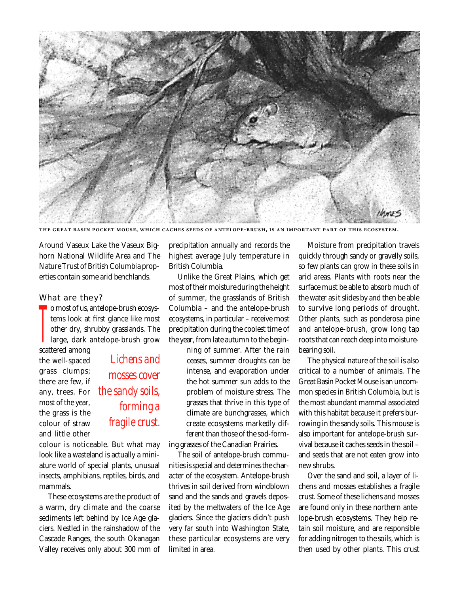

THE GREAT BASIN POCKET MOUSE, WHICH CACHES SEEDS OF ANTELOPE-BRUSH, IS AN IMPORTANT PART OF THIS ECOSYSTEM

Around Vaseux Lake the Vaseux Bighorn National Wildlife Area and The Nature Trust of British Columbia properties contain some arid benchlands.

## What are they?

o most of us, antelope-brush ecosystems look at first glance like most other dry, shrubby grasslands. The large, dark antelope-brush grow **T** 

scattered among the well-spaced grass clumps; there are few, if any, trees. For most of the year, the grass is the colour of straw and little other

*Lichens and mosses cover the sandy soils, forming a fragile crust.*

colour is noticeable. But what may look like a wasteland is actually a miniature world of special plants, unusual insects, amphibians, reptiles, birds, and mammals.

These ecosystems are the product of a warm, dry climate and the coarse sediments left behind by Ice Age glaciers. Nestled in the rainshadow of the Cascade Ranges, the south Okanagan Valley receives only about 300 mm of

precipitation annually and records the highest average July temperature in British Columbia.

Unlike the Great Plains, which get most of their moisture during the height of summer, the grasslands of British Columbia – and the antelope-brush ecosystems, in particular – receive most precipitation during the coolest time of the year, from late autumn to the begin-

> ning of summer. After the rain ceases, summer droughts can be intense, and evaporation under the hot summer sun adds to the problem of moisture stress. The grasses that thrive in this type of climate are bunchgrasses, which create ecosystems markedly different than those of the sod-form-

ing grasses of the Canadian Prairies.

The soil of antelope-brush communities is special and determines the character of the ecosystem. Antelope-brush thrives in soil derived from windblown sand and the sands and gravels deposited by the meltwaters of the Ice Age glaciers. Since the glaciers didn't push very far south into Washington State, these particular ecosystems are very limited in area.

Moisture from precipitation travels quickly through sandy or gravelly soils, so few plants can grow in these soils in arid areas. Plants with roots near the surface must be able to absorb much of the water as it slides by and then be able to survive long periods of drought. Other plants, such as ponderosa pine and antelope-brush, grow long tap roots that can reach deep into moisturebearing soil.

The physical nature of the soil is also critical to a number of animals. The Great Basin Pocket Mouse is an uncommon species in British Columbia, but is the most abundant mammal associated with this habitat because it prefers burrowing in the sandy soils. This mouse is also important for antelope-brush survival because it caches seeds in the soil – and seeds that are not eaten grow into new shrubs.

Over the sand and soil, a layer of lichens and mosses establishes a fragile crust. Some of these lichens and mosses are found only in these northern antelope-brush ecosystems. They help retain soil moisture, and are responsible for adding nitrogen to the soils, which is then used by other plants. This crust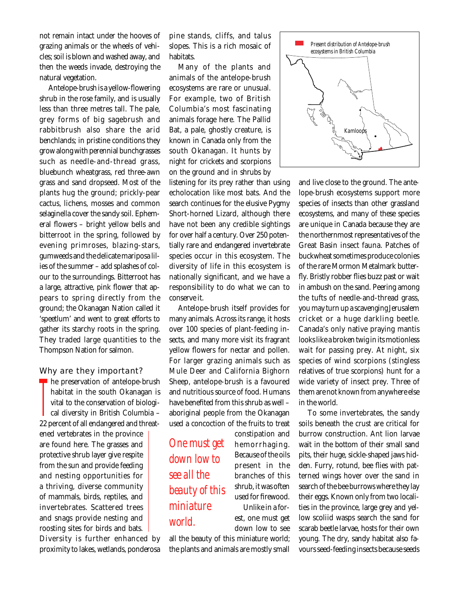not remain intact under the hooves of grazing animals or the wheels of vehicles; soil is blown and washed away, and then the weeds invade, destroying the natural vegetation.

Antelope-brush is a yellow-flowering shrub in the rose family, and is usually less than three metres tall. The pale, grey forms of big sagebrush and rabbitbrush also share the arid benchlands; in pristine conditions they grow along with perennial bunchgrasses such as needle-and-thread grass, bluebunch wheatgrass, red three-awn grass and sand dropseed. Most of the plants hug the ground; prickly-pear cactus, lichens, mosses and common selaginella cover the sandy soil. Ephemeral flowers – bright yellow bells and bitterroot in the spring, followed by evening primroses, blazing-stars, gumweeds and the delicate mariposa lilies of the summer – add splashes of colour to the surroundings. Bitterroot has a large, attractive, pink flower that appears to spring directly from the ground; the Okanagan Nation called it 'speetlum' and went to great efforts to gather its starchy roots in the spring. They traded large quantities to the Thompson Nation for salmon.

## Why are they important?

he preservation of antelope-brush habitat in the south Okanagan is vital to the conservation of biologi- $\Box$  cal diversity in British Columbia – 22 percent of all endangered and threatened vertebrates in the province are found here. The grasses and protective shrub layer give respite from the sun and provide feeding and nesting opportunities for a thriving, diverse community of mammals, birds, reptiles, and invertebrates. Scattered trees and snags provide nesting and roosting sites for birds and bats.  $\prod_{\alpha_2}$ 

Diversity is further enhanced by proximity to lakes, wetlands, ponderosa pine stands, cliffs, and talus slopes. This is a rich mosaic of habitats.

Many of the plants and animals of the antelope-brush ecosystems are rare or unusual. For example, two of British Columbia's most fascinating animals forage here. The Pallid Bat, a pale, ghostly creature, is known in Canada only from the south Okanagan. It hunts by night for crickets and scorpions on the ground and in shrubs by

listening for its prey rather than using echolocation like most bats. And the search continues for the elusive Pygmy Short-horned Lizard, although there have not been any credible sightings for over half a century. Over 250 potentially rare and endangered invertebrate species occur in this ecosystem. The diversity of life in this ecosystem is nationally significant, and we have a responsibility to do what we can to conserve it.

Antelope-brush itself provides for many animals. Across its range, it hosts over 100 species of plant-feeding insects, and many more visit its fragrant yellow flowers for nectar and pollen. For larger grazing animals such as Mule Deer and California Bighorn Sheep, antelope-brush is a favoured and nutritious source of food. Humans have benefited from this shrub as well – aboriginal people from the Okanagan used a concoction of the fruits to treat

*One must get down low to see all the beauty of this miniature world.*

constipation and hemorrhaging. Because of the oils present in the branches of this shrub, it was often used for firewood. Unlike in a forest, one must get down low to see

all the beauty of this miniature world; the plants and animals are mostly small

*Present distribution of Antelope-brush ecosystems in British Columbia* Kamloop

> and live close to the ground. The antelope-brush ecosystems support more species of insects than other grassland ecosystems, and many of these species are unique in Canada because they are the northernmost representatives of the Great Basin insect fauna. Patches of buckwheat sometimes produce colonies of the rare Mormon Metalmark butterfly. Bristly robber flies buzz past or wait in ambush on the sand. Peering among the tufts of needle-and-thread grass, you may turn up a scavenging Jerusalem cricket or a huge darkling beetle. Canada's only native praying mantis looks like a broken twig in its motionless wait for passing prey. At night, six species of wind scorpions (stingless relatives of true scorpions) hunt for a wide variety of insect prey. Three of them are not known from anywhere else in the world.

> To some invertebrates, the sandy soils beneath the crust are critical for burrow construction. Ant lion larvae wait in the bottom of their small sand pits, their huge, sickle-shaped jaws hidden. Furry, rotund, bee flies with patterned wings hover over the sand in search of the bee burrows where they lay their eggs. Known only from two localities in the province, large grey and yellow scoliid wasps search the sand for scarab beetle larvae, hosts for their own young. The dry, sandy habitat also favours seed-feeding insects because seeds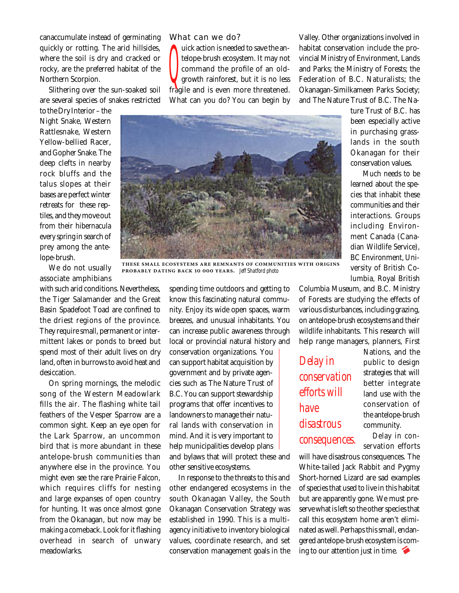canaccumulate instead of germinating quickly or rotting. The arid hillsides, where the soil is dry and cracked or rocky, are the preferred habitat of the Northern Scorpion.

Slithering over the sun-soaked soil are several species of snakes restricted

to the Dry Interior – the Night Snake, Western Rattlesnake, Western Yellow-bellied Racer, and Gopher Snake. The deep clefts in nearby rock bluffs and the talus slopes at their bases are perfect winter retreats for these reptiles, and they move out from their hibernacula every spring in search of prey among the antelope-brush.

We do not usually associate amphibians

with such arid conditions. Nevertheless, the Tiger Salamander and the Great Basin Spadefoot Toad are confined to the driest regions of the province. They require small, permanent or intermittent lakes or ponds to breed but spend most of their adult lives on dry land, often in burrows to avoid heat and desiccation.

On spring mornings, the melodic song of the Western Meadowlark fills the air. The flashing white tail feathers of the Vesper Sparrow are a common sight. Keep an eye open for the Lark Sparrow, an uncommon bird that is more abundant in these antelope-brush communities than anywhere else in the province. You might even see the rare Prairie Falcon, which requires cliffs for nesting and large expanses of open country for hunting. It was once almost gone from the Okanagan, but now may be making a comeback. Look for it flashing overhead in search of unwary meadowlarks.

What can we do?

uick action is needed to save the antelope-brush ecosystem. It may not  $c$  mmand the profile of an old**growth rainforest**, but it is no less fragile and is even more threatened. What can you do? You can begin by Q

Valley. Other organizations involved in habitat conservation include the provincial Ministry of Environment, Lands and Parks; the Ministry of Forests; the Federation of B.C. Naturalists; the Okanagan-Similkameen Parks Society; and The Nature Trust of B.C. The Na-



THESE SMALL ECOSYSTEMS ARE REMNANTS OF COMMUNITIES WITH ORIGINS  **.** *Jeff Shatford photo*

spending time outdoors and getting to know this fascinating natural community. Enjoy its wide open spaces, warm breezes, and unusual inhabitants. You can increase public awareness through local or provincial natural history and

conservation organizations. You can support habitat acquisition by government and by private agencies such as The Nature Trust of B.C. You can support stewardship programs that offer incentives to landowners to manage their natural lands with conservation in mind. And it is very important to help municipalities develop plans and bylaws that will protect these and other sensitive ecosystems.

In response to the threats to this and other endangered ecosystems in the south Okanagan Valley, the South Okanagan Conservation Strategy was established in 1990. This is a multiagency initiative to inventory biological values, coordinate research, and set conservation management goals in the

ture Trust of B.C. has been especially active in purchasing grasslands in the south Okanagan for their conservation values.

Much needs to be learned about the species that inhabit these communities and their interactions. Groups including Environment Canada (Canadian Wildlife Service), BC Environment, University of British Columbia, Royal British

Columbia Museum, and B.C. Ministry of Forests are studying the effects of various disturbances, including grazing, on antelope-brush ecosystems and their wildlife inhabitants. This research will help range managers, planners, First

*Delay in conservation efforts will have disastrous consequences.* Nations, and the public to design strategies that will better integrate land use with the conservation of the antelope-brush community.

Delay in conservation efforts

will have disastrous consequences. The White-tailed Jack Rabbit and Pygmy Short-horned Lizard are sad examples of species that used to live in this habitat but are apparently gone. We must preserve what is left so the other species that call this ecosystem home aren't eliminated as well. Perhaps this small, endangered antelope-brush ecosystem is coming to our attention just in time.